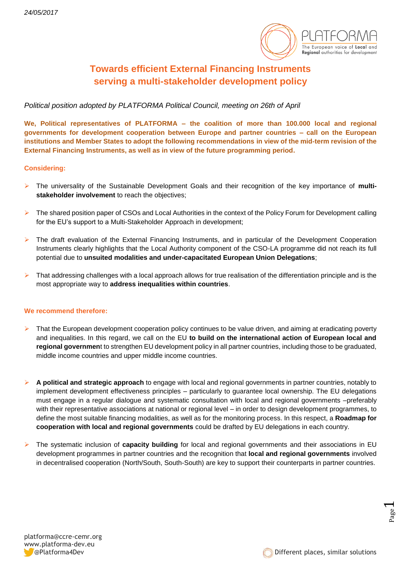

## **Towards efficient External Financing Instruments serving a multi-stakeholder development policy**

*Political position adopted by PLATFORMA Political Council, meeting on 26th of April*

**We, Political representatives of PLATFORMA – the coalition of more than 100.000 local and regional governments for development cooperation between Europe and partner countries – call on the European institutions and Member States to adopt the following recommendations in view of the mid-term revision of the External Financing Instruments, as well as in view of the future programming period.**

## **Considering:**

- ➢ The universality of the Sustainable Development Goals and their recognition of the key importance of **multistakeholder involvement** to reach the objectives;
- ➢ The shared position paper of CSOs and Local Authorities in the context of the Policy Forum for Development calling for the EU's support to a Multi-Stakeholder Approach in development;
- ➢ The draft evaluation of the External Financing Instruments, and in particular of the Development Cooperation Instruments clearly highlights that the Local Authority component of the CSO-LA programme did not reach its full potential due to **unsuited modalities and under-capacitated European Union Delegations**;
- $\triangleright$  That addressing challenges with a local approach allows for true realisation of the differentiation principle and is the most appropriate way to **address inequalities within countries**.

## **We recommend therefore:**

- ➢ That the European development cooperation policy continues to be value driven, and aiming at eradicating poverty and inequalities. In this regard, we call on the EU **to build on the international action of European local and regional governmen**t to strengthen EU development policy in all partner countries, including those to be graduated, middle income countries and upper middle income countries.
- ➢ **A political and strategic approach** to engage with local and regional governments in partner countries, notably to implement development effectiveness principles – particularly to guarantee local ownership. The EU delegations must engage in a regular dialogue and systematic consultation with local and regional governments –preferably with their representative associations at national or regional level – in order to design development programmes, to define the most suitable financing modalities, as well as for the monitoring process. In this respect, a **Roadmap for cooperation with local and regional governments** could be drafted by EU delegations in each country.
- ➢ The systematic inclusion of **capacity building** for local and regional governments and their associations in EU development programmes in partner countries and the recognition that **local and regional governments** involved in decentralised cooperation (North/South, South-South) are key to support their counterparts in partner countries.

Page  $\overline{\phantom{0}}$